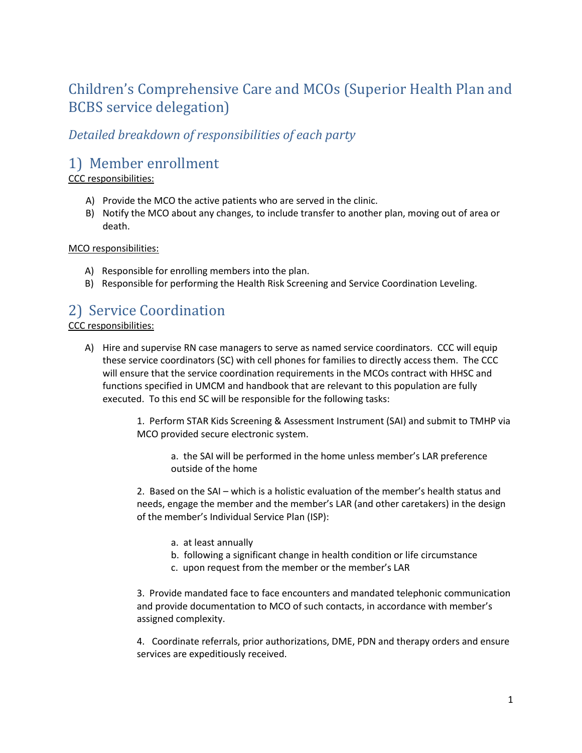# Children's Comprehensive Care and MCOs (Superior Health Plan and BCBS service delegation)

### *Detailed breakdown of responsibilities of each party*

## 1) Member enrollment

#### CCC responsibilities:

- A) Provide the MCO the active patients who are served in the clinic.
- B) Notify the MCO about any changes, to include transfer to another plan, moving out of area or death.

#### MCO responsibilities:

- A) Responsible for enrolling members into the plan.
- B) Responsible for performing the Health Risk Screening and Service Coordination Leveling.

### 2) Service Coordination CCC responsibilities:

A) Hire and supervise RN case managers to serve as named service coordinators. CCC will equip these service coordinators (SC) with cell phones for families to directly access them. The CCC will ensure that the service coordination requirements in the MCOs contract with HHSC and functions specified in UMCM and handbook that are relevant to this population are fully executed. To this end SC will be responsible for the following tasks:

> 1. Perform STAR Kids Screening & Assessment Instrument (SAI) and submit to TMHP via MCO provided secure electronic system.

a. the SAI will be performed in the home unless member's LAR preference outside of the home

2. Based on the SAI – which is a holistic evaluation of the member's health status and needs, engage the member and the member's LAR (and other caretakers) in the design of the member's Individual Service Plan (ISP):

- a. at least annually
- b. following a significant change in health condition or life circumstance
- c. upon request from the member or the member's LAR

3. Provide mandated face to face encounters and mandated telephonic communication and provide documentation to MCO of such contacts, in accordance with member's assigned complexity.

4. Coordinate referrals, prior authorizations, DME, PDN and therapy orders and ensure services are expeditiously received.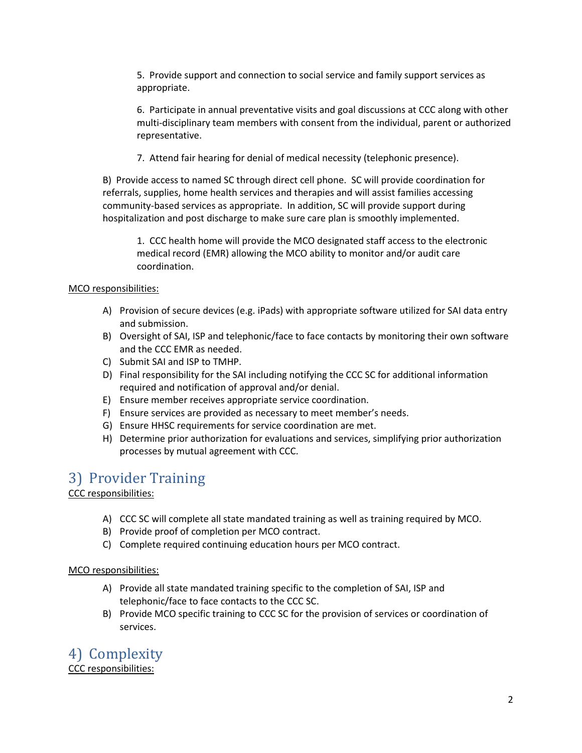5. Provide support and connection to social service and family support services as appropriate.

6. Participate in annual preventative visits and goal discussions at CCC along with other multi-disciplinary team members with consent from the individual, parent or authorized representative.

7. Attend fair hearing for denial of medical necessity (telephonic presence).

B) Provide access to named SC through direct cell phone. SC will provide coordination for referrals, supplies, home health services and therapies and will assist families accessing community-based services as appropriate. In addition, SC will provide support during hospitalization and post discharge to make sure care plan is smoothly implemented.

1. CCC health home will provide the MCO designated staff access to the electronic medical record (EMR) allowing the MCO ability to monitor and/or audit care coordination.

#### MCO responsibilities:

- A) Provision of secure devices (e.g. iPads) with appropriate software utilized for SAI data entry and submission.
- B) Oversight of SAI, ISP and telephonic/face to face contacts by monitoring their own software and the CCC EMR as needed.
- C) Submit SAI and ISP to TMHP.
- D) Final responsibility for the SAI including notifying the CCC SC for additional information required and notification of approval and/or denial.
- E) Ensure member receives appropriate service coordination.
- F) Ensure services are provided as necessary to meet member's needs.
- G) Ensure HHSC requirements for service coordination are met.
- H) Determine prior authorization for evaluations and services, simplifying prior authorization processes by mutual agreement with CCC.

## 3) Provider Training

#### CCC responsibilities:

- A) CCC SC will complete all state mandated training as well as training required by MCO.
- B) Provide proof of completion per MCO contract.
- C) Complete required continuing education hours per MCO contract.

#### MCO responsibilities:

- A) Provide all state mandated training specific to the completion of SAI, ISP and telephonic/face to face contacts to the CCC SC.
- B) Provide MCO specific training to CCC SC for the provision of services or coordination of services.

4) Complexity CCC responsibilities: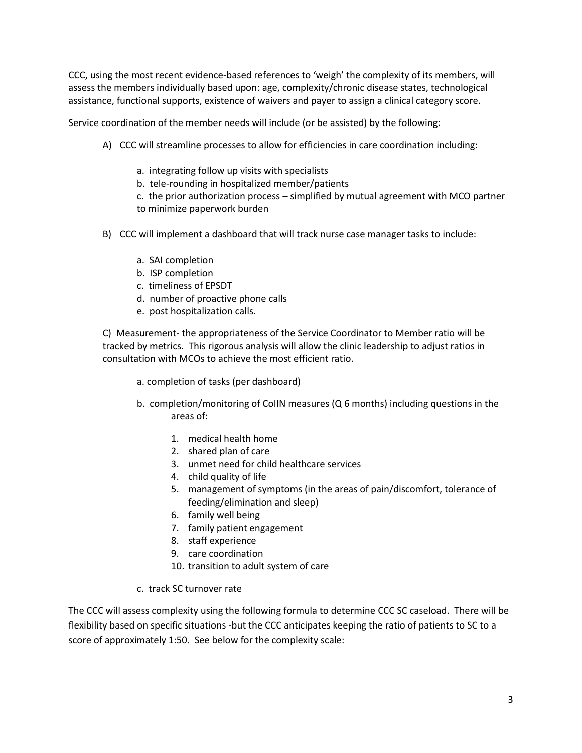CCC, using the most recent evidence-based references to 'weigh' the complexity of its members, will assess the members individually based upon: age, complexity/chronic disease states, technological assistance, functional supports, existence of waivers and payer to assign a clinical category score.

Service coordination of the member needs will include (or be assisted) by the following:

- A) CCC will streamline processes to allow for efficiencies in care coordination including:
	- a. integrating follow up visits with specialists
	- b. tele-rounding in hospitalized member/patients
	- c. the prior authorization process simplified by mutual agreement with MCO partner to minimize paperwork burden
- B) CCC will implement a dashboard that will track nurse case manager tasks to include:
	- a. SAI completion
	- b. ISP completion
	- c. timeliness of EPSDT
	- d. number of proactive phone calls
	- e. post hospitalization calls.

C) Measurement- the appropriateness of the Service Coordinator to Member ratio will be tracked by metrics. This rigorous analysis will allow the clinic leadership to adjust ratios in consultation with MCOs to achieve the most efficient ratio.

- a. completion of tasks (per dashboard)
- b. completion/monitoring of CoIIN measures (Q 6 months) including questions in the areas of:
	- 1. medical health home
	- 2. shared plan of care
	- 3. unmet need for child healthcare services
	- 4. child quality of life
	- 5. management of symptoms (in the areas of pain/discomfort, tolerance of feeding/elimination and sleep)
	- 6. family well being
	- 7. family patient engagement
	- 8. staff experience
	- 9. care coordination
	- 10. transition to adult system of care
- c. track SC turnover rate

The CCC will assess complexity using the following formula to determine CCC SC caseload. There will be flexibility based on specific situations -but the CCC anticipates keeping the ratio of patients to SC to a score of approximately 1:50. See below for the complexity scale: